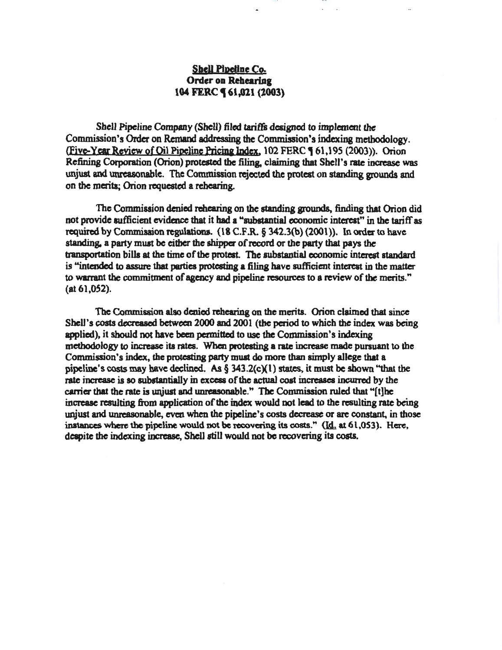# Shell Pipeline Co. Order on Rehearing 104 FERC **(61,021 (2003)**

Ull

Shell Pipeline Company (Shell) filed tariffs designed to implement the Commission's Order on Remand addressing the Commission's indexing methodology. (Five-Year Review of Oil Pipeline Pricing Index, 102 FERC ¶ 61,195 (2003)). Orion Refining Corporation (Orion) protested the filing, claiming that Shell's rate increase was unjust and unreasonable. The Commission rejected the protest on standing grounds and on the merits; Orion requested a rehearing.

The Commission denied rehearing on the standing grounds, finding that Orion did not provide sufficient evidence that it bad a "substantial economic interest" in the tariff as required by Commission regulations.  $(18 \text{ C.F.R.} \S 342.3(b) (2001))$ . In order to have standing, a party must be either the shipper of record or the party that pays the transportation bills at the time of the protest. The substantial economic interest standard is "intended to assure that parties protesting a filing have sufficient interest in the matter to warrant the commitment of agency and pipeline resources to a review of the merits." (at 61,052).

The Commission also denied rehearing on the merits. Orion claimed that since Shell's costs decreased between 2000 and 2001 (the period to which the index was being applied), it should not have been permitted to use the Commission's indexing methodology to increase its rates. When protesting a rate increase made pursuant to the Commission's index, the protesting party must do more than simply allege that a pipeline's costs may have declined. As  $\S$  343.2(c)(1) states, it must be shown "that the rate increase is so substantially in excesa of the actual cost increases incurred by the carrier that the rate is unjust and unreasonable." The Commission ruled that " $[t]$ he increase resulting from application of the index would not lead to the resulting rate being unjust and unreasonable, even when the pipeline's costs decrease or are constant, in those instances where the pipeline would not be recovering its costs."  $(Id<sub>1</sub> at 61,053)$ . Here, despite the indexing increase, Shell still would not be recovering its costs.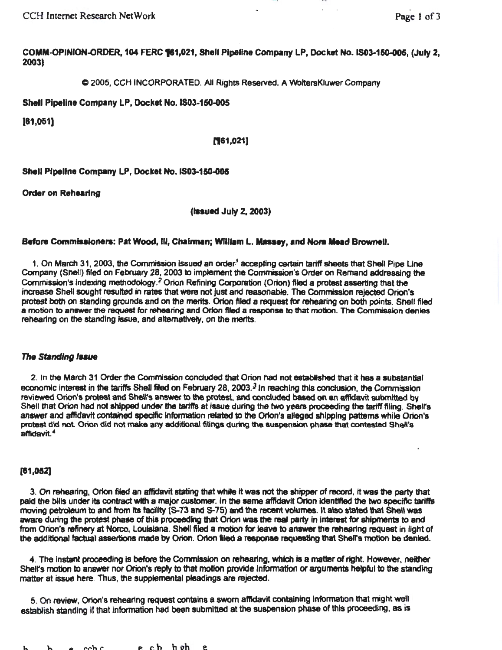lUI

COMM-OPINION-ORDER, 104 FERC 161,021, Shell Pipeline Company LP, Docket No. IS03-150-005, (July 2, 2003)

C 2005, CCH INCORPORATED. All Rights Reserved. A WoltersKluwer Company

Shell Pipeline Company LP, Docket No.IS03-150-005

[61,051)

### (161,021)

Shell Pipeline Company LP, Docket No. IS03-150-005

Order on Rehearing

(Issued July 2, 2003)

### Before Commissioners: Pat Wood, Ill, Chairman; William L. Massey, and Nora Mead Brownell.

1. On March 31, 2003, the Commission issued an order<sup>1</sup> accepting certain tariff sheets that Shell Pipe Line Company (Shefl) filed on February 28, 2003 to implement the Commission's Order on Remand addressing the Commission's indexing methodology.<sup>2</sup> Orion Refining Corporation (Orion) filed a protest asserting that the increase Shell sought resulted in rates that were not just and reasonable. The Commission rejected Orion's protest both on standing grounds and on the merits. Orion filed a request for rehearing on both points. Shell filed a motion to answer the request fer rehearing and Orion filed a response to that motion. The Commission denies rehearing on the standing issue, and alternatively, on the merits.

### The Standing Issue

2. In the March 31 Order the Commission conctuded that Orion had not established that it has a substantial economic interest in the tariffs Shell filed on February 28, 2003.<sup>3</sup> In reaching this conclusion, the Commission reviewed Orion's protest and Shelrs answer to the protest, and concluded based on an affidavit submitted by Shell that Orion had not shipped under the tariffs at issue during the two years proceeding the tariff filing. Shell's answer and affidavit contained specific information related to the Orion's alleged shipping patterns while Orion's protest did not Orion did not make any additional filings during the suspension phase that contested Shell's affidavit.<sup>4</sup>

### (81,052]

3. On rehearing, Orion filed an affidavit stating that while it was not the shipper of record, it was the party that paid the bills under its contract with a major customer. In the same affidavit Orion identified the two specific tariffs moving petroleum to and from Its facility (S-73 and S-75) and the recent volumes. It also stated that Shell was aware during the protest phase of this proceeding that Orion was the real party in interest for shipments to and from Orion's refinery at Norco, Louisiana. Shell filed a motion for leave to answer the rehearing request in light of the additional factual assertions made by Orion. Orion filed a response requesting that Shell's motion be denied.

4. The instant proceeding is before the Commission on rehearing, which is a matter of right. However, neither Shelfs motion to answer nor Orion's reply to that motion provide Information or arguments helpful to the standing matter at issue here. Thus, the supplemental pleadings are rejected.

5. On review, Orion's rehearing request contains a sworn affidavit containing information that might well establish standing if that information had been submitted at the suspension phase of this proceeding, as is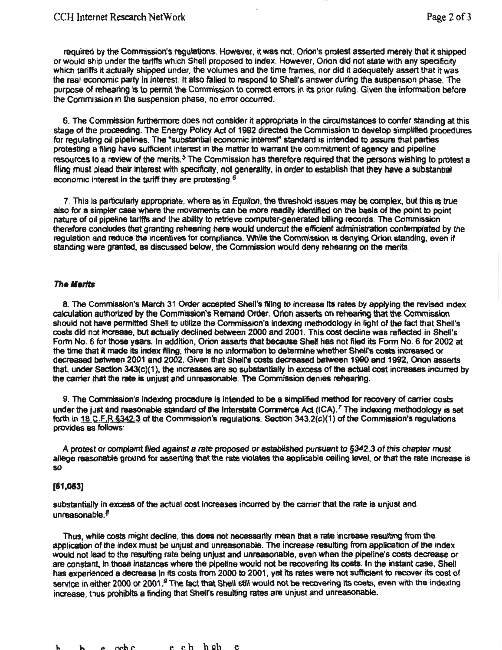required by the Commission's requlations. However, it was not. Orion's protest asserted merely that it shipped or would ship under the tariffs which Shell proposed to index. However, Orion did not state with any specificity which tariffs it actually shipped under, the volumes and the time frames, nor did it adequately assert that it was the real economic party in Interest. It also failed to respond to Shell's answer durfng the suspension phase. The purpose of rehearing is to permit the Commission to correct errors In its prior ruling. Given the Information before the Commi3Sion in the suspension phase. no error occurred.

6. The Commission furthermore does not consider it appropriate in the circumstances to confer standing at this stage of the proceeding. The Energy Policy Act of 1992 directed the Commission to develop simplified procedures for regulating oil pipelines. The "substantial economic interest" standard is intended to assure that parties protesting a filing have sufficient interest in the matter to warrant the commitment of agency and pipeline resources to a review of the merits.<sup>5</sup> The Commission has therefore required that the persons wishing to protest a filing must plead their interest with specificity, not generality, in order to establish that they have a substantial economic interest in the tariff they are protesting.<sup>6</sup>

7. This Is particularly appropriate, where as in Equilon, the threshold issues may be complex. but this is true also for a simpler case where the movements can be more readily identlfled on the basis of the point to point nature of oil pipeline tariffs and the ability to retrieve computer-generated billing records. The Commission therefore concludes that granting rehearing here would undercut the efficient administration contemplated by the regulation and reduce the incentives for compliance. While the Commission is denying Orion standing, even if standing were granted, as discussed below, the Commission would deny rehearing on the merits.

### The Merits

8. The Commission's March 31 Order accepted Shell's filling to increase its rates by applying the revised index calculation authorized by the Commission's Remand Order. Orion asserts on rehearing that the Corrvnisslon should not have permitted Shell to utilize the Commission's Indexing methodology in light of the fact that Shell's costs did not increase, but actually declined between 2000 and 2001. This cost decline was reflected in Shell's Form No. 6 for those years. In addition, Orion asserts that because Shell has not filed its Form No.6 for 2002 at the time that it made its index filing, there is no information to determine whether Shell's costs increased or decreased between 2001 and 2002. Given that Shell's costs decreased between 1990 and 1992, Orion asserts that, under Section 343(c)(1), the increases are so substantially in excess of the actual cost increases incurred by the carrier !hat the rate ia unjust and unreasonable. The Commission denies rehearing.

9. The Comrriation's indexing procedure is Intended to be a simplified method for recovery of carrier costs under the just and reasonable standard of the Interstate Commerce Act (ICA).<sup>7</sup> The indexing methodology is set forth in 18 C.F.R § 342.3 of the Commission's regulations. Section 343.2(c)(1) of the Commission's regulations provides as follows:

A protest or complaint filed against a rate proposed or established pursuant to §342.3 of this chapter must allege reasonable ground for asserting that the rate violates the applicable ceiling tevel, or that the rate increase is so

### (81 ,053]

substantially in excess of the actual cost increases incurred by the carrier that the rate is unjust and unreasonable.<sup>8</sup>

Thus, while costs might decline, this does not necessarily mean that a rate increase resulting from the application of the index must be unjust and unreasonable. The increase resulting from application of the index would not lead to the resulting rate being unjust and unreasonable, even when the pipeline's costs decrease or are constant, in those instances where the pipeline would not be recovering its costs. In the instant case, Shell has experienced a decrease in its costs from 2000 to 2001, yet its rates were not sufficient to recover its cost of service in either 2000 or 2001.<sup>9</sup> The fact that Shell still would not be recovering its costs, even with the indexing increase, thus prohibits a finding that Shell's resulting rates are unjust and unreasonable.